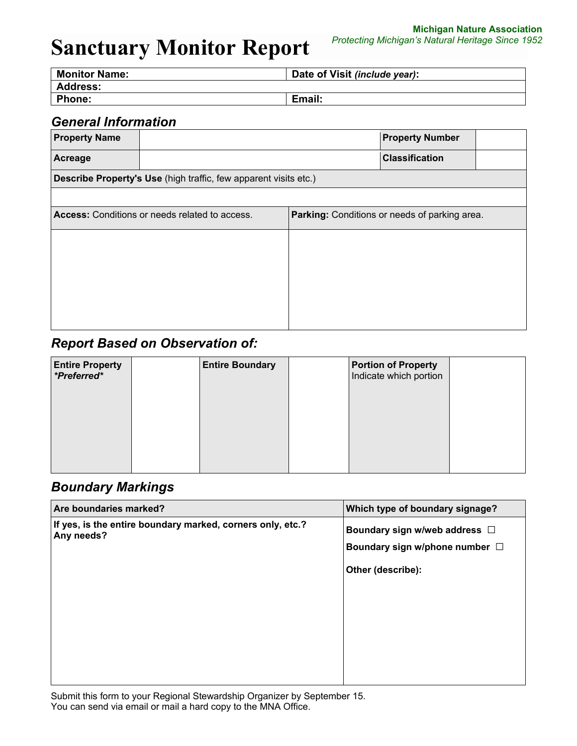**Michigan Nature Association** *Protecting Michigan's Natural Heritage Since 1952*

| <b>Monitor Name:</b> | Date of Visit (include year): |
|----------------------|-------------------------------|
| <b>Address:</b>      |                               |
| <b>Phone:</b>        | Email:                        |

## *General Information*

| <b>Property Name</b>                           |                                                                  |  | <b>Property Number</b>                               |  |  |  |
|------------------------------------------------|------------------------------------------------------------------|--|------------------------------------------------------|--|--|--|
| Acreage                                        |                                                                  |  | <b>Classification</b>                                |  |  |  |
|                                                | Describe Property's Use (high traffic, few apparent visits etc.) |  |                                                      |  |  |  |
|                                                |                                                                  |  |                                                      |  |  |  |
| Access: Conditions or needs related to access. |                                                                  |  | <b>Parking:</b> Conditions or needs of parking area. |  |  |  |
|                                                |                                                                  |  |                                                      |  |  |  |
|                                                |                                                                  |  |                                                      |  |  |  |
|                                                |                                                                  |  |                                                      |  |  |  |
|                                                |                                                                  |  |                                                      |  |  |  |
|                                                |                                                                  |  |                                                      |  |  |  |
|                                                |                                                                  |  |                                                      |  |  |  |

## *Report Based on Observation of:*

| <b>Entire Property</b><br>*Preferred* | <b>Entire Boundary</b> | <b>Portion of Property</b><br>Indicate which portion |  |
|---------------------------------------|------------------------|------------------------------------------------------|--|
|                                       |                        |                                                      |  |
|                                       |                        |                                                      |  |
|                                       |                        |                                                      |  |

### *Boundary Markings*

| Are boundaries marked?                                                   | Which type of boundary signage? |
|--------------------------------------------------------------------------|---------------------------------|
| If yes, is the entire boundary marked, corners only, etc.?<br>Any needs? | Boundary sign w/web address □   |
|                                                                          | Boundary sign w/phone number □  |
|                                                                          | Other (describe):               |
|                                                                          |                                 |
|                                                                          |                                 |
|                                                                          |                                 |
|                                                                          |                                 |
|                                                                          |                                 |

Submit this form to your Regional Stewardship Organizer by September 15. You can send via email or mail a hard copy to the MNA Office.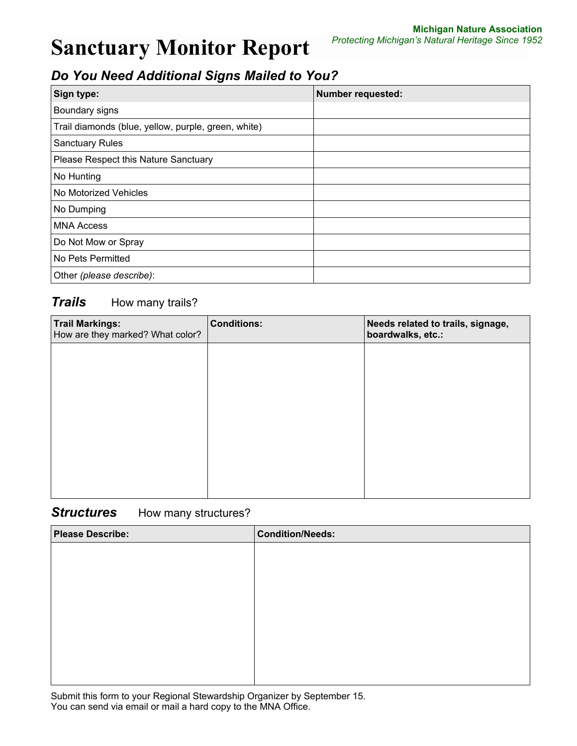# *Do You Need Additional Signs Mailed to You?*

| Sign type:                                          | <b>Number requested:</b> |
|-----------------------------------------------------|--------------------------|
| Boundary signs                                      |                          |
| Trail diamonds (blue, yellow, purple, green, white) |                          |
| <b>Sanctuary Rules</b>                              |                          |
| Please Respect this Nature Sanctuary                |                          |
| No Hunting                                          |                          |
| No Motorized Vehicles                               |                          |
| No Dumping                                          |                          |
| <b>MNA Access</b>                                   |                          |
| Do Not Mow or Spray                                 |                          |
| No Pets Permitted                                   |                          |
| Other (please describe):                            |                          |

### **Trails** How many trails?

| <b>Trail Markings:</b><br>How are they marked? What color? | <b>Conditions:</b> | Needs related to trails, signage,<br>boardwalks, etc.: |
|------------------------------------------------------------|--------------------|--------------------------------------------------------|
|                                                            |                    |                                                        |
|                                                            |                    |                                                        |
|                                                            |                    |                                                        |
|                                                            |                    |                                                        |
|                                                            |                    |                                                        |
|                                                            |                    |                                                        |

#### **Structures** How many structures?

| <b>Please Describe:</b> | <b>Condition/Needs:</b> |
|-------------------------|-------------------------|
|                         |                         |
|                         |                         |
|                         |                         |
|                         |                         |
|                         |                         |
|                         |                         |
|                         |                         |
|                         |                         |

Submit this form to your Regional Stewardship Organizer by September 15. You can send via email or mail a hard copy to the MNA Office.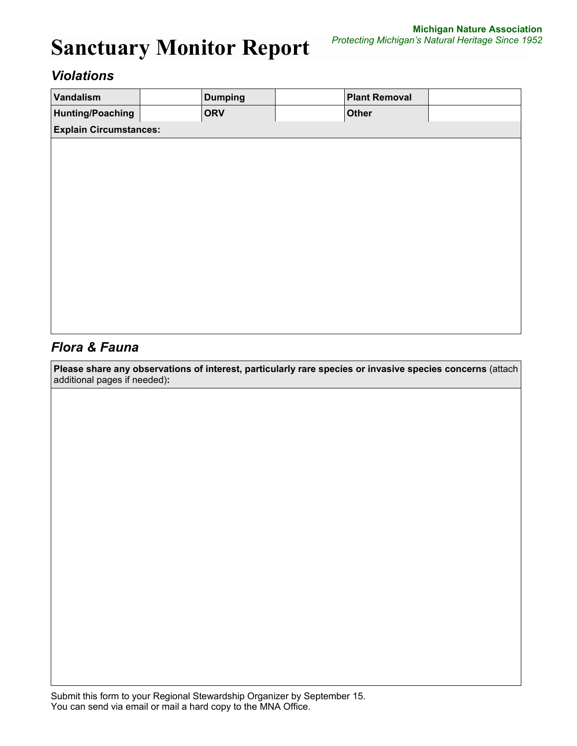## *Violations*

| Vandalism                     | <b>Dumping</b> | <b>Plant Removal</b> |  |
|-------------------------------|----------------|----------------------|--|
| <b>Hunting/Poaching</b>       | <b>ORV</b>     | <b>Other</b>         |  |
| <b>Explain Circumstances:</b> |                |                      |  |
|                               |                |                      |  |
|                               |                |                      |  |
|                               |                |                      |  |
|                               |                |                      |  |
|                               |                |                      |  |
|                               |                |                      |  |
|                               |                |                      |  |
|                               |                |                      |  |
|                               |                |                      |  |
|                               |                |                      |  |
|                               |                |                      |  |
|                               |                |                      |  |

## *Flora & Fauna*

**Please share any observations of interest, particularly rare species or invasive species concerns** (attach additional pages if needed)**:**